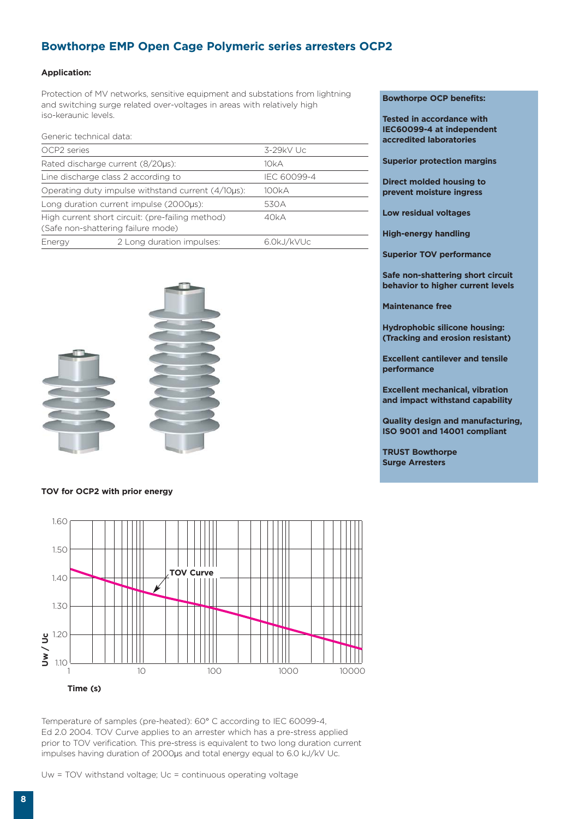## **Bowthorpe EMP Open Cage Polymeric series arresters OCP2**

### **Application:**

Protection of MV networks, sensitive equipment and substations from lightning and switching surge related over-voltages in areas with relatively high iso-keraunic levels.

| Generic technical data:                                                                        |                                     |             |  |  |
|------------------------------------------------------------------------------------------------|-------------------------------------|-------------|--|--|
| OCP2 series                                                                                    |                                     | $3-29kV$ Uc |  |  |
|                                                                                                | Rated discharge current (8/20µs):   | 10kA        |  |  |
|                                                                                                | Line discharge class 2 according to | IEC 60099-4 |  |  |
| Operating duty impulse withstand current (4/10µs):                                             | 100kA                               |             |  |  |
| Long duration current impulse (2000µs):<br>530A                                                |                                     |             |  |  |
| High current short circuit: (pre-failing method)<br>40kA<br>(Safe non-shattering failure mode) |                                     |             |  |  |
| Energy                                                                                         | 2 Long duration impulses:           | 6.0kJ/kVUc  |  |  |



#### **TOV for OCP2 with prior energy**



**Time (s)**

Temperature of samples (pre-heated): 60° C according to IEC 60099-4, Ed 2.0 2004. TOV Curve applies to an arrester which has a pre-stress applied prior to TOV verification. This pre-stress is equivalent to two long duration current impulses having duration of 2000μs and total energy equal to 6.0 kJ/kV Uc.

Uw = TOV withstand voltage; Uc = continuous operating voltage

#### **Bowthorpe OCP benefits:**

**Tested in accordance with IEC60099-4 at independent accredited laboratories**

**Superior protection margins**

**Direct molded housing to prevent moisture ingress**

**Low residual voltages**

**High-energy handling**

**Superior TOV performance**

**Safe non-shattering short circuit behavior to higher current levels**

**Maintenance free**

**Hydrophobic silicone housing: (Tracking and erosion resistant)**

**Excellent cantilever and tensile performance**

**Excellent mechanical, vibration and impact withstand capability** 

**Quality design and manufacturing, ISO 9001 and 14001 compliant**

**TRUST Bowthorpe Surge Arresters**